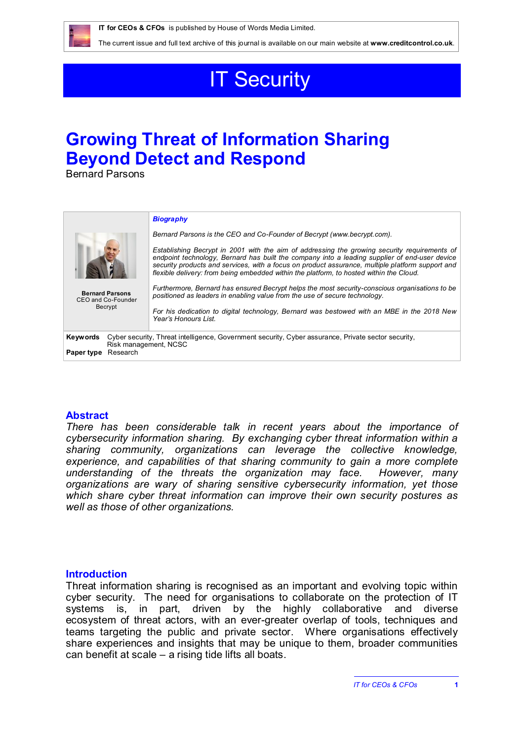

The current issue and full text archive of this journal is available on our main website at **[www.creditcontrol.co.uk](http://www.creditcontrol.co.uk)**.

# **IT Security**

## **Growing Threat of Information Sharing Beyond Detect and Respond**

Bernard Parsons

|                                                                                                                                                                    | <b>Biography</b>                                                                                                                                                                                                                                                                                                                                                                             |
|--------------------------------------------------------------------------------------------------------------------------------------------------------------------|----------------------------------------------------------------------------------------------------------------------------------------------------------------------------------------------------------------------------------------------------------------------------------------------------------------------------------------------------------------------------------------------|
|                                                                                                                                                                    | Bernard Parsons is the CEO and Co-Founder of Becrypt (www.becrypt.com).                                                                                                                                                                                                                                                                                                                      |
|                                                                                                                                                                    | Establishing Becrypt in 2001 with the aim of addressing the growing security requirements of<br>endpoint technology, Bernard has built the company into a leading supplier of end-user device<br>security products and services, with a focus on product assurance, multiple platform support and<br>flexible delivery: from being embedded within the platform, to hosted within the Cloud. |
| <b>Bernard Parsons</b><br>CEO and Co-Founder                                                                                                                       | Furthermore, Bernard has ensured Becrypt helps the most security-conscious organisations to be<br>positioned as leaders in enabling value from the use of secure technology.                                                                                                                                                                                                                 |
| Becrypt                                                                                                                                                            | For his dedication to digital technology, Bernard was bestowed with an MBE in the 2018 New<br>Year's Honours List                                                                                                                                                                                                                                                                            |
| Cyber security, Threat intelligence, Government security, Cyber assurance, Private sector security,<br>Keywords<br>Risk management, NCSC<br>Research<br>Paper type |                                                                                                                                                                                                                                                                                                                                                                                              |
|                                                                                                                                                                    |                                                                                                                                                                                                                                                                                                                                                                                              |

#### **Abstract**

*There has been considerable talk in recent years about the importance of cybersecurity information sharing. By exchanging cyber threat information within a sharing community, organizations can leverage the collective knowledge, experience, and capabilities of that sharing community to gain a more complete understanding of the threats the organization may face. However, many organizations are wary of sharing sensitive cybersecurity information, yet those which share cyber threat information can improve their own security postures as well as those of other organizations.*

#### **Introduction**

Threat information sharing is recognised as an important and evolving topic within cyber security. The need for organisations to collaborate on the protection of IT systems is, in part, driven by the highly collaborative and diverse ecosystem of threat actors, with an ever-greater overlap of tools, techniques and teams targeting the public and private sector. Where organisations effectively share experiences and insights that may be unique to them, broader communities can benefit at scale – a rising tide lifts all boats.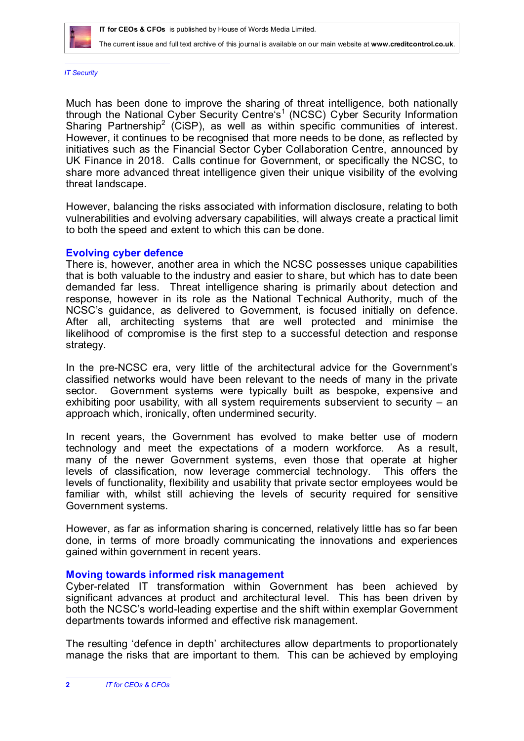

The current issue and full text archive of this journal is available on our main website at **[www.creditcontrol.co.uk](http://www.creditcontrol.co.uk)**.

*IT Security*

Much has been done to improve the sharing of threat intelligence, both nationally through the National Cyber Security Centre's<sup>1</sup> (NCSC) Cyber Security Information Sharing Partnership<sup>2</sup> (CiSP), as well as within specific communities of interest. However, it continues to be recognised that more needs to be done, as reflected by initiatives such as the Financial Sector Cyber Collaboration Centre, announced by UK Finance in 2018. Calls continue for Government, or specifically the NCSC, to share more advanced threat intelligence given their unique visibility of the evolving threat landscape.

However, balancing the risks associated with information disclosure, relating to both vulnerabilities and evolving adversary capabilities, will always create a practical limit to both the speed and extent to which this can be done.

#### **Evolving cyber defence**

There is, however, another area in which the NCSC possesses unique capabilities that is both valuable to the industry and easier to share, but which has to date been demanded far less. Threat intelligence sharing is primarily about detection and response, however in its role as the National Technical Authority, much of the NCSC's guidance, as delivered to Government, is focused initially on defence. After all, architecting systems that are well protected and minimise the likelihood of compromise is the first step to a successful detection and response strategy.

In the pre-NCSC era, very little of the architectural advice for the Government's classified networks would have been relevant to the needs of many in the private sector. Government systems were typically built as bespoke, expensive and exhibiting poor usability, with all system requirements subservient to security – an approach which, ironically, often undermined security.

In recent years, the Government has evolved to make better use of modern technology and meet the expectations of a modern workforce. As a result, many of the newer Government systems, even those that operate at higher levels of classification, now leverage commercial technology. This offers the levels of functionality, flexibility and usability that private sector employees would be familiar with, whilst still achieving the levels of security required for sensitive Government systems.

However, as far as information sharing is concerned, relatively little has so far been done, in terms of more broadly communicating the innovations and experiences gained within government in recent years.

#### **Moving towards informed risk management**

Cyber-related IT transformation within Government has been achieved by significant advances at product and architectural level. This has been driven by both the NCSC's world-leading expertise and the shift within exemplar Government departments towards informed and effective risk management.

The resulting 'defence in depth' architectures allow departments to proportionately manage the risks that are important to them. This can be achieved by employing